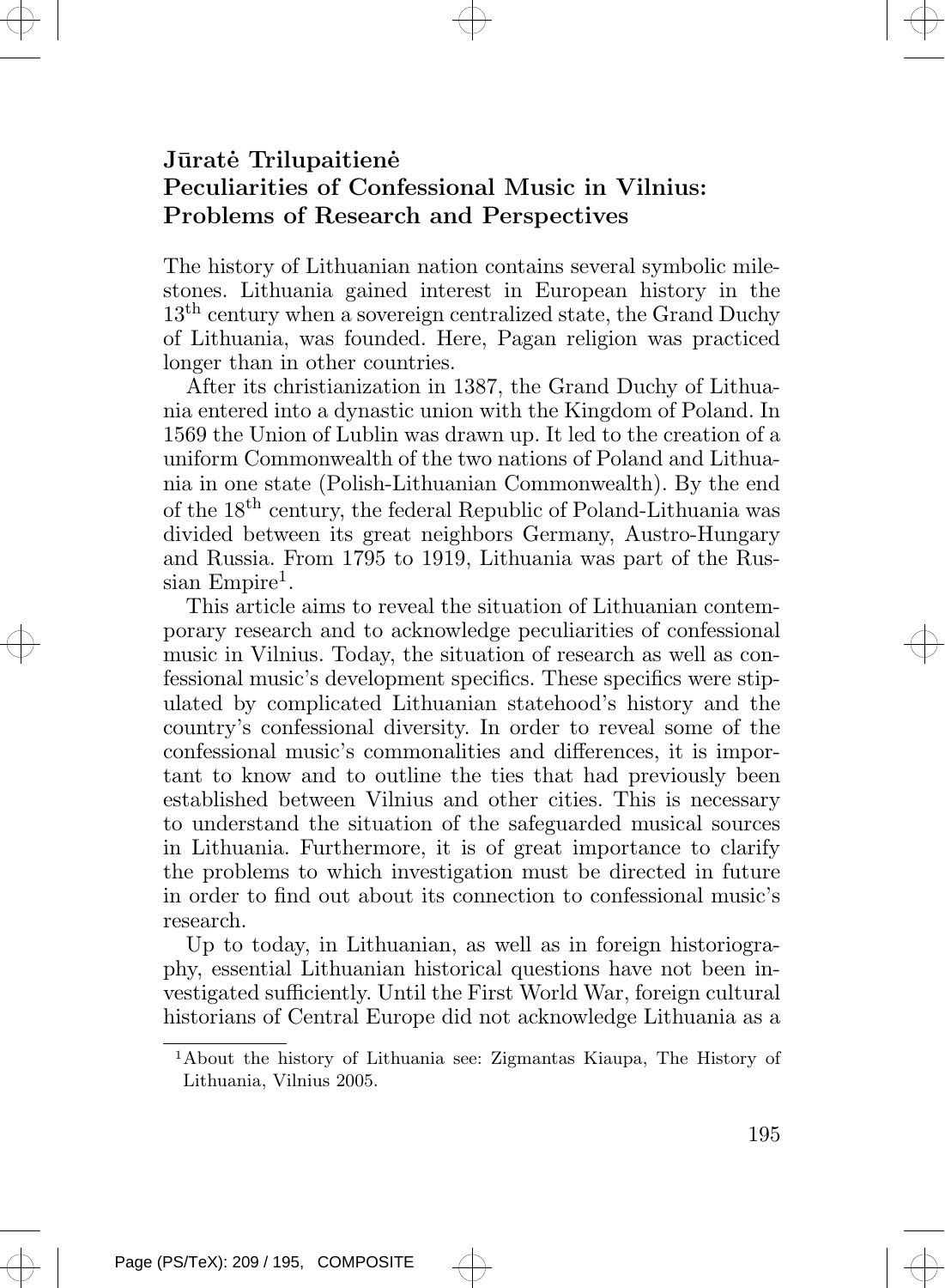## Jūratė Trilupaitienė Peculiarities of Confessional Music in Vilnius: Problems of Research and Perspectives

The history of Lithuanian nation contains several symbolic milestones. Lithuania gained interest in European history in the 13<sup>th</sup> century when a sovereign centralized state, the Grand Duchy of Lithuania, was founded. Here, Pagan religion was practiced longer than in other countries.

After its christianization in 1387, the Grand Duchy of Lithuania entered into a dynastic union with the Kingdom of Poland. In 1569 the Union of Lublin was drawn up. It led to the creation of a uniform Commonwealth of the two nations of Poland and Lithuania in one state (Polish-Lithuanian Commonwealth). By the end of the 18th century, the federal Republic of Poland-Lithuania was divided between its great neighbors Germany, Austro-Hungary and Russia. From 1795 to 1919, Lithuania was part of the Rus $sian$  Empire<sup>1</sup>.

This article aims to reveal the situation of Lithuanian contemporary research and to acknowledge peculiarities of confessional music in Vilnius. Today, the situation of research as well as confessional music's development specifics. These specifics were stipulated by complicated Lithuanian statehood's history and the country's confessional diversity. In order to reveal some of the confessional music's commonalities and differences, it is important to know and to outline the ties that had previously been established between Vilnius and other cities. This is necessary to understand the situation of the safeguarded musical sources in Lithuania. Furthermore, it is of great importance to clarify the problems to which investigation must be directed in future in order to find out about its connection to confessional music's research.

Up to today, in Lithuanian, as well as in foreign historiography, essential Lithuanian historical questions have not been investigated sufficiently. Until the First World War, foreign cultural historians of Central Europe did not acknowledge Lithuania as a

<sup>1</sup>About the history of Lithuania see: Zigmantas Kiaupa, The History of Lithuania, Vilnius 2005.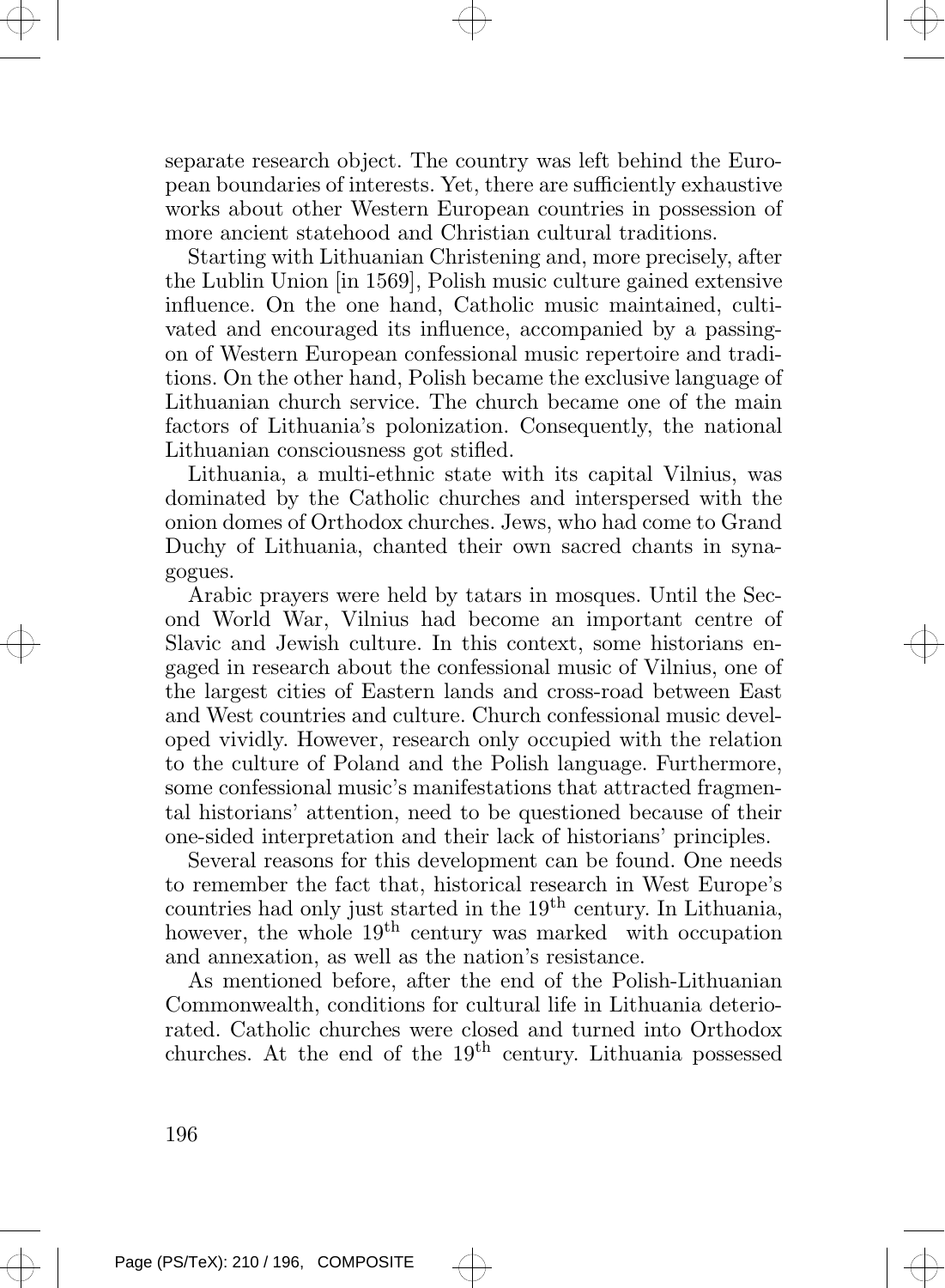separate research object. The country was left behind the European boundaries of interests. Yet, there are sufficiently exhaustive works about other Western European countries in possession of more ancient statehood and Christian cultural traditions.

Starting with Lithuanian Christening and, more precisely, after the Lublin Union [in 1569], Polish music culture gained extensive influence. On the one hand, Catholic music maintained, cultivated and encouraged its influence, accompanied by a passingon of Western European confessional music repertoire and traditions. On the other hand, Polish became the exclusive language of Lithuanian church service. The church became one of the main factors of Lithuania's polonization. Consequently, the national Lithuanian consciousness got stifled.

Lithuania, a multi-ethnic state with its capital Vilnius, was dominated by the Catholic churches and interspersed with the onion domes of Orthodox churches. Jews, who had come to Grand Duchy of Lithuania, chanted their own sacred chants in synagogues.

Arabic prayers were held by tatars in mosques. Until the Second World War, Vilnius had become an important centre of Slavic and Jewish culture. In this context, some historians engaged in research about the confessional music of Vilnius, one of the largest cities of Eastern lands and cross-road between East and West countries and culture. Church confessional music developed vividly. However, research only occupied with the relation to the culture of Poland and the Polish language. Furthermore, some confessional music's manifestations that attracted fragmental historians' attention, need to be questioned because of their one-sided interpretation and their lack of historians' principles.

Several reasons for this development can be found. One needs to remember the fact that, historical research in West Europe's countries had only just started in the 19<sup>th</sup> century. In Lithuania, however, the whole 19<sup>th</sup> century was marked with occupation and annexation, as well as the nation's resistance.

As mentioned before, after the end of the Polish-Lithuanian Commonwealth, conditions for cultural life in Lithuania deteriorated. Catholic churches were closed and turned into Orthodox churches. At the end of the 19th century. Lithuania possessed

196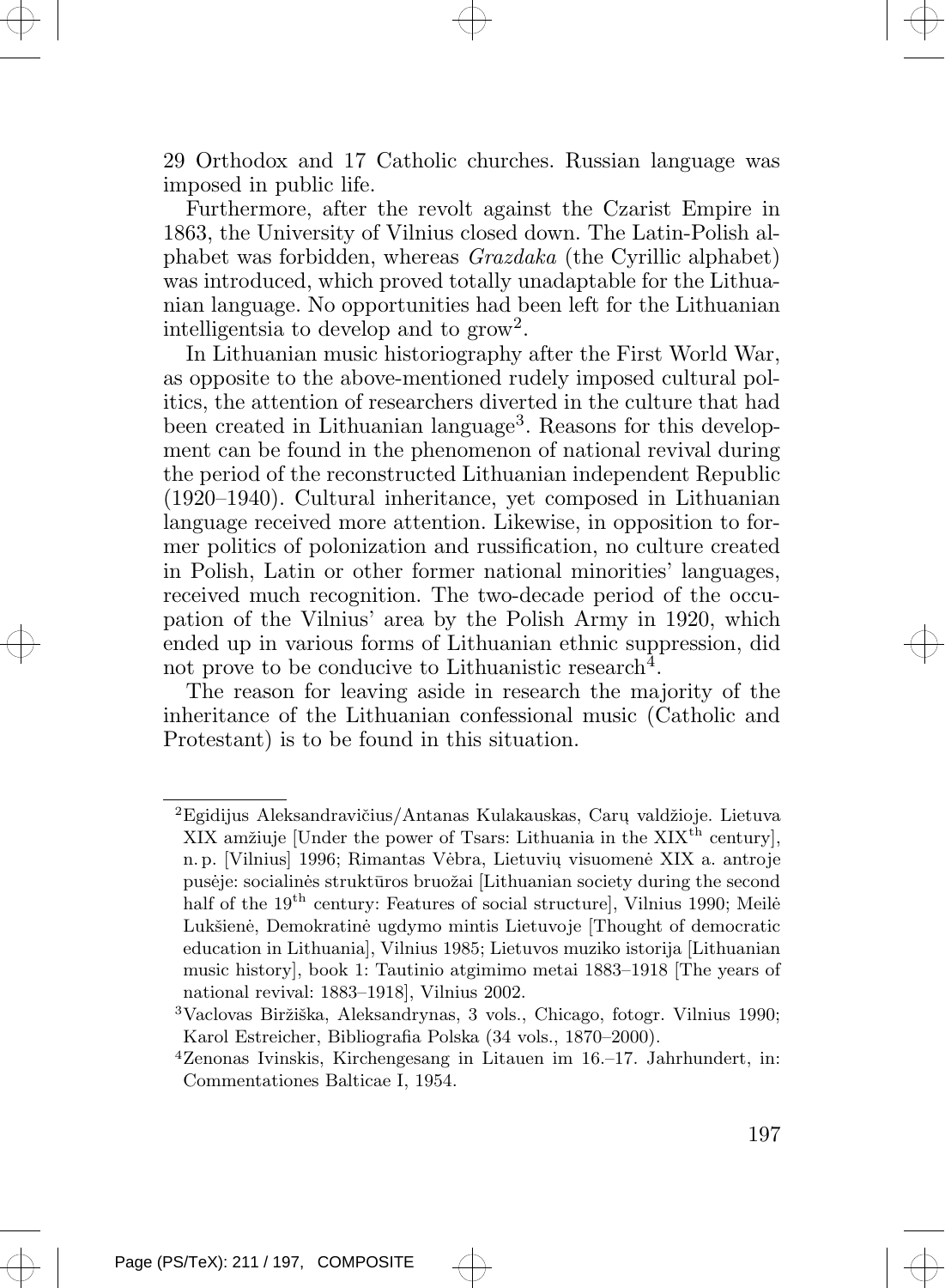

Furthermore, after the revolt against the Czarist Empire in 1863, the University of Vilnius closed down. The Latin-Polish alphabet was forbidden, whereas Grazdaka (the Cyrillic alphabet) was introduced, which proved totally unadaptable for the Lithuanian language. No opportunities had been left for the Lithuanian intelligentsia to develop and to  $\text{grow}^2$ .

In Lithuanian music historiography after the First World War, as opposite to the above-mentioned rudely imposed cultural politics, the attention of researchers diverted in the culture that had been created in Lithuanian language<sup>3</sup>. Reasons for this development can be found in the phenomenon of national revival during the period of the reconstructed Lithuanian independent Republic (1920–1940). Cultural inheritance, yet composed in Lithuanian language received more attention. Likewise, in opposition to former politics of polonization and russification, no culture created in Polish, Latin or other former national minorities' languages, received much recognition. The two-decade period of the occupation of the Vilnius' area by the Polish Army in 1920, which ended up in various forms of Lithuanian ethnic suppression, did not prove to be conducive to Lithuanistic research<sup>4</sup>.

The reason for leaving aside in research the majority of the inheritance of the Lithuanian confessional music (Catholic and Protestant) is to be found in this situation.

 ${}^{2}$ Egidijus Aleksandravičius/Antanas Kulakauskas, Carų valdžioje. Lietuva XIX amžiuje [Under the power of Tsars: Lithuania in the  $XIX<sup>th</sup>$  century], n. p. [Vilnius] 1996; Rimantas Vėbra, Lietuvių visuomenė XIX a. antroje pusėje: socialinės struktūros bruožai [Lithuanian society during the second half of the  $19<sup>th</sup>$  century: Features of social structure], Vilnius 1990; Meile $\dot{\theta}$ Lukšienė, Demokratinė ugdymo mintis Lietuvoje [Thought of democratic education in Lithuania], Vilnius 1985; Lietuvos muziko istorija [Lithuanian music history], book 1: Tautinio atgimimo metai 1883–1918 [The years of national revival: 1883–1918], Vilnius 2002.

<sup>&</sup>lt;sup>3</sup>Vaclovas Biržiška, Aleksandrynas, 3 vols., Chicago, fotogr. Vilnius 1990; Karol Estreicher, Bibliografia Polska (34 vols., 1870–2000).

<sup>4</sup>Zenonas Ivinskis, Kirchengesang in Litauen im 16.–17. Jahrhundert, in: Commentationes Balticae I, 1954.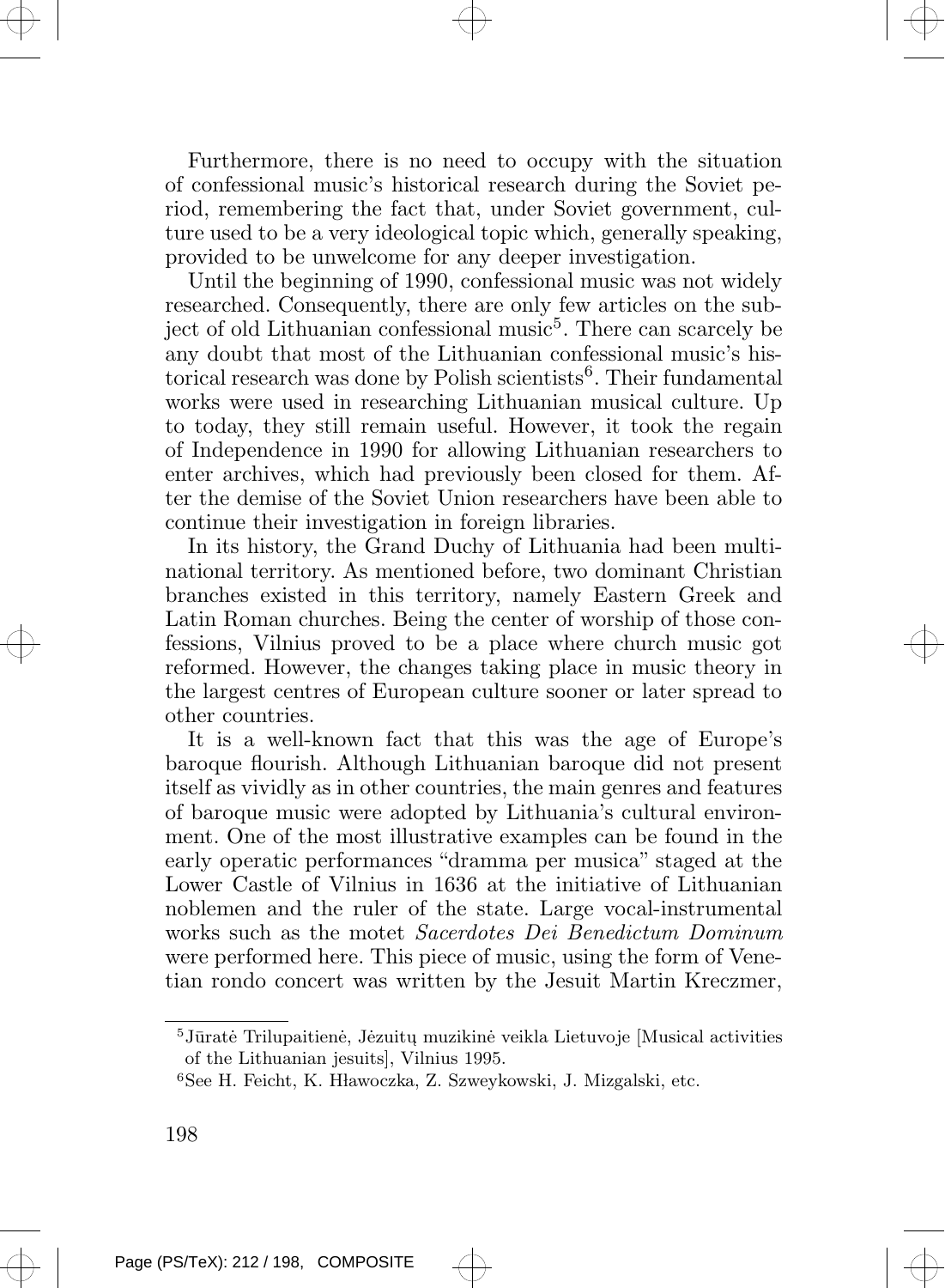Furthermore, there is no need to occupy with the situation of confessional music's historical research during the Soviet period, remembering the fact that, under Soviet government, culture used to be a very ideological topic which, generally speaking, provided to be unwelcome for any deeper investigation.

Until the beginning of 1990, confessional music was not widely researched. Consequently, there are only few articles on the subject of old Lithuanian confessional music<sup>5</sup>. There can scarcely be any doubt that most of the Lithuanian confessional music's historical research was done by Polish scientists<sup>6</sup>. Their fundamental works were used in researching Lithuanian musical culture. Up to today, they still remain useful. However, it took the regain of Independence in 1990 for allowing Lithuanian researchers to enter archives, which had previously been closed for them. After the demise of the Soviet Union researchers have been able to continue their investigation in foreign libraries.

In its history, the Grand Duchy of Lithuania had been multinational territory. As mentioned before, two dominant Christian branches existed in this territory, namely Eastern Greek and Latin Roman churches. Being the center of worship of those confessions, Vilnius proved to be a place where church music got reformed. However, the changes taking place in music theory in the largest centres of European culture sooner or later spread to other countries.

It is a well-known fact that this was the age of Europe's baroque flourish. Although Lithuanian baroque did not present itself as vividly as in other countries, the main genres and features of baroque music were adopted by Lithuania's cultural environment. One of the most illustrative examples can be found in the early operatic performances "dramma per musica" staged at the Lower Castle of Vilnius in 1636 at the initiative of Lithuanian noblemen and the ruler of the state. Large vocal-instrumental works such as the motet Sacerdotes Dei Benedictum Dominum were performed here. This piece of music, using the form of Venetian rondo concert was written by the Jesuit Martin Kreczmer,

 $^5{\rm J}\bar{\rm u}$ ratė Trilupaitienė, Jėzuitų muzikinė veikla Lietuvoje [Musical activities of the Lithuanian jesuits], Vilnius 1995.

 $6$ See H. Feicht, K. Hławoczka, Z. Szweykowski, J. Mizgalski, etc.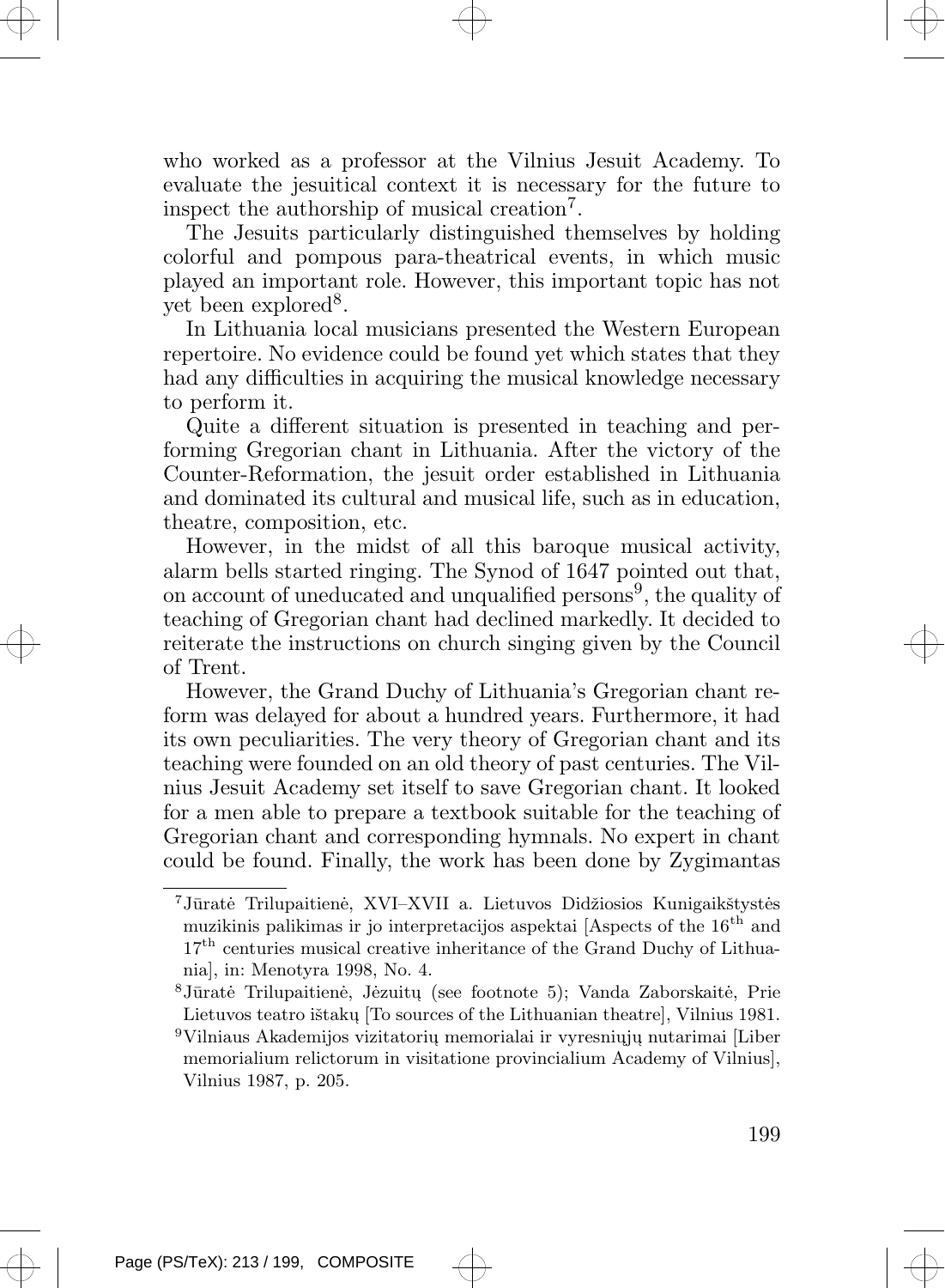who worked as a professor at the Vilnius Jesuit Academy. To evaluate the jesuitical context it is necessary for the future to inspect the authorship of musical creation<sup>7</sup> .

The Jesuits particularly distinguished themselves by holding colorful and pompous para-theatrical events, in which music played an important role. However, this important topic has not yet been explored<sup>8</sup>.

In Lithuania local musicians presented the Western European repertoire. No evidence could be found yet which states that they had any difficulties in acquiring the musical knowledge necessary to perform it.

Quite a different situation is presented in teaching and performing Gregorian chant in Lithuania. After the victory of the Counter-Reformation, the jesuit order established in Lithuania and dominated its cultural and musical life, such as in education, theatre, composition, etc.

However, in the midst of all this baroque musical activity, alarm bells started ringing. The Synod of 1647 pointed out that, on account of uneducated and unqualified persons<sup>9</sup>, the quality of teaching of Gregorian chant had declined markedly. It decided to reiterate the instructions on church singing given by the Council of Trent.

However, the Grand Duchy of Lithuania's Gregorian chant reform was delayed for about a hundred years. Furthermore, it had its own peculiarities. The very theory of Gregorian chant and its teaching were founded on an old theory of past centuries. The Vilnius Jesuit Academy set itself to save Gregorian chant. It looked for a men able to prepare a textbook suitable for the teaching of Gregorian chant and corresponding hymnals. No expert in chant could be found. Finally, the work has been done by Zygimantas

 $^8{\rm J}\bar {\rm ur}$ atė Trilupaitienė, Jėzuitų (see footnote 5); Vanda Zaborskaitė, Prie Lietuvos teatro ištakų [To sources of the Lithuanian theatre], Vilnius 1981.  $^9\rm{Vilniaus}$  Akademijos vizitatorių memorialai ir vyresniųjų nutarimai [Liber memorialium relictorum in visitatione provincialium Academy of Vilnius], Vilnius 1987, p. 205.



<sup>&</sup>lt;sup>7</sup>Jūratė Trilupaitienė, XVI–XVII a. Lietuvos Didžiosios Kunigaikštystės muzikinis palikimas ir jo interpretacijos aspektai [Aspects of the 16<sup>th</sup> and  $17<sup>th</sup>$  centuries musical creative inheritance of the Grand Duchy of Lithuania], in: Menotyra 1998, No. 4.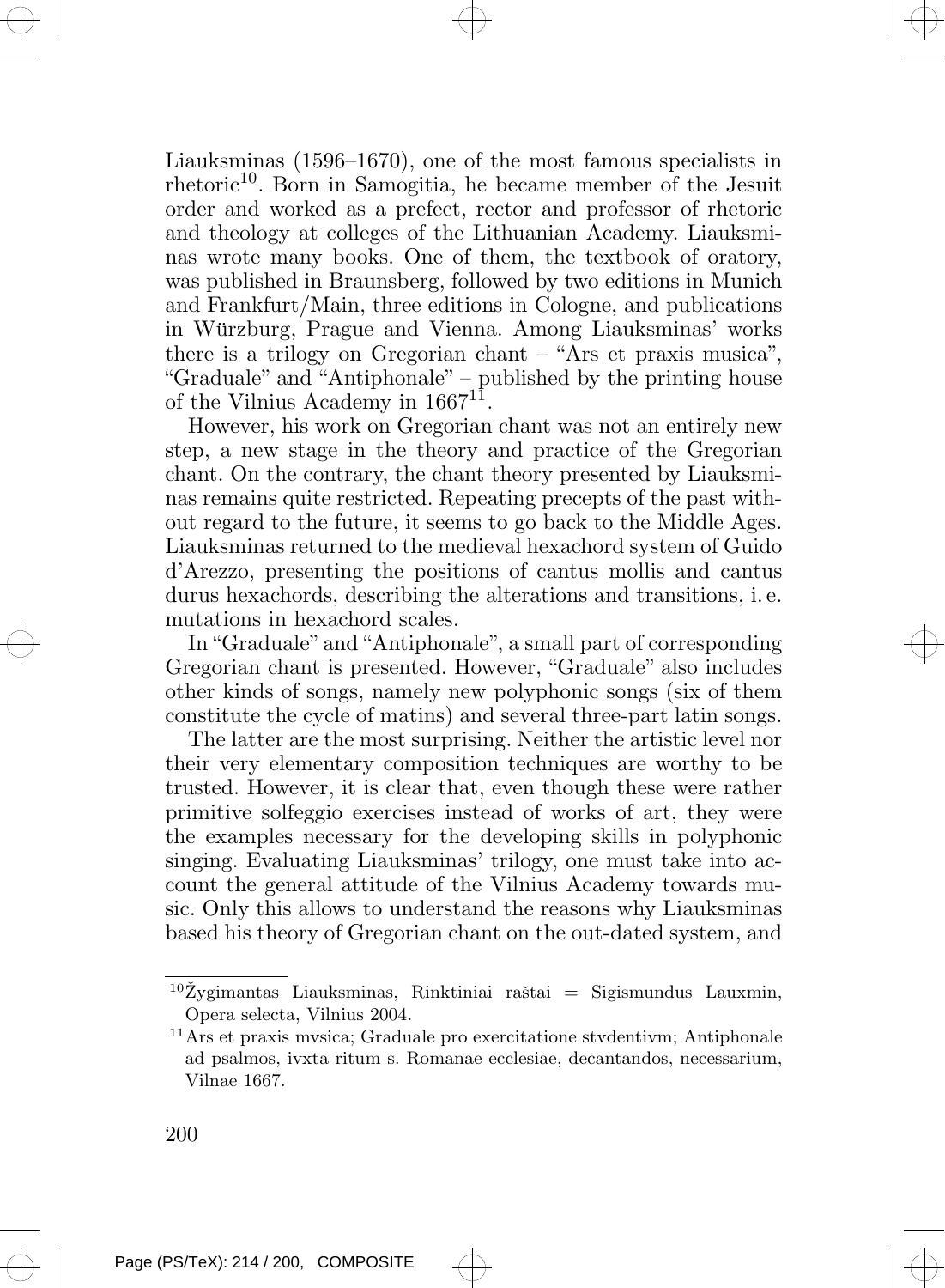Liauksminas (1596–1670), one of the most famous specialists in rhetoric<sup>10</sup>. Born in Samogitia, he became member of the Jesuit order and worked as a prefect, rector and professor of rhetoric and theology at colleges of the Lithuanian Academy. Liauksminas wrote many books. One of them, the textbook of oratory, was published in Braunsberg, followed by two editions in Munich and Frankfurt/Main, three editions in Cologne, and publications in Würzburg, Prague and Vienna. Among Liauksminas' works there is a trilogy on Gregorian chant – "Ars et praxis musica", "Graduale" and "Antiphonale" – published by the printing house of the Vilnius Academy in 1667<sup>11</sup>.

However, his work on Gregorian chant was not an entirely new step, a new stage in the theory and practice of the Gregorian chant. On the contrary, the chant theory presented by Liauksminas remains quite restricted. Repeating precepts of the past without regard to the future, it seems to go back to the Middle Ages. Liauksminas returned to the medieval hexachord system of Guido d'Arezzo, presenting the positions of cantus mollis and cantus durus hexachords, describing the alterations and transitions, i. e. mutations in hexachord scales.

In "Graduale" and "Antiphonale", a small part of corresponding Gregorian chant is presented. However, "Graduale" also includes other kinds of songs, namely new polyphonic songs (six of them constitute the cycle of matins) and several three-part latin songs.

The latter are the most surprising. Neither the artistic level nor their very elementary composition techniques are worthy to be trusted. However, it is clear that, even though these were rather primitive solfeggio exercises instead of works of art, they were the examples necessary for the developing skills in polyphonic singing. Evaluating Liauksminas' trilogy, one must take into account the general attitude of the Vilnius Academy towards music. Only this allows to understand the reasons why Liauksminas based his theory of Gregorian chant on the out-dated system, and

<sup>11</sup>Ars et praxis mvsica; Graduale pro exercitatione stvdentivm; Antiphonale ad psalmos, ivxta ritum s. Romanae ecclesiae, decantandos, necessarium, Vilnae 1667.



 $10\text{Zygimantas}$  Liauksminas, Rinktiniai raštai = Sigismundus Lauxmin, Opera selecta, Vilnius 2004.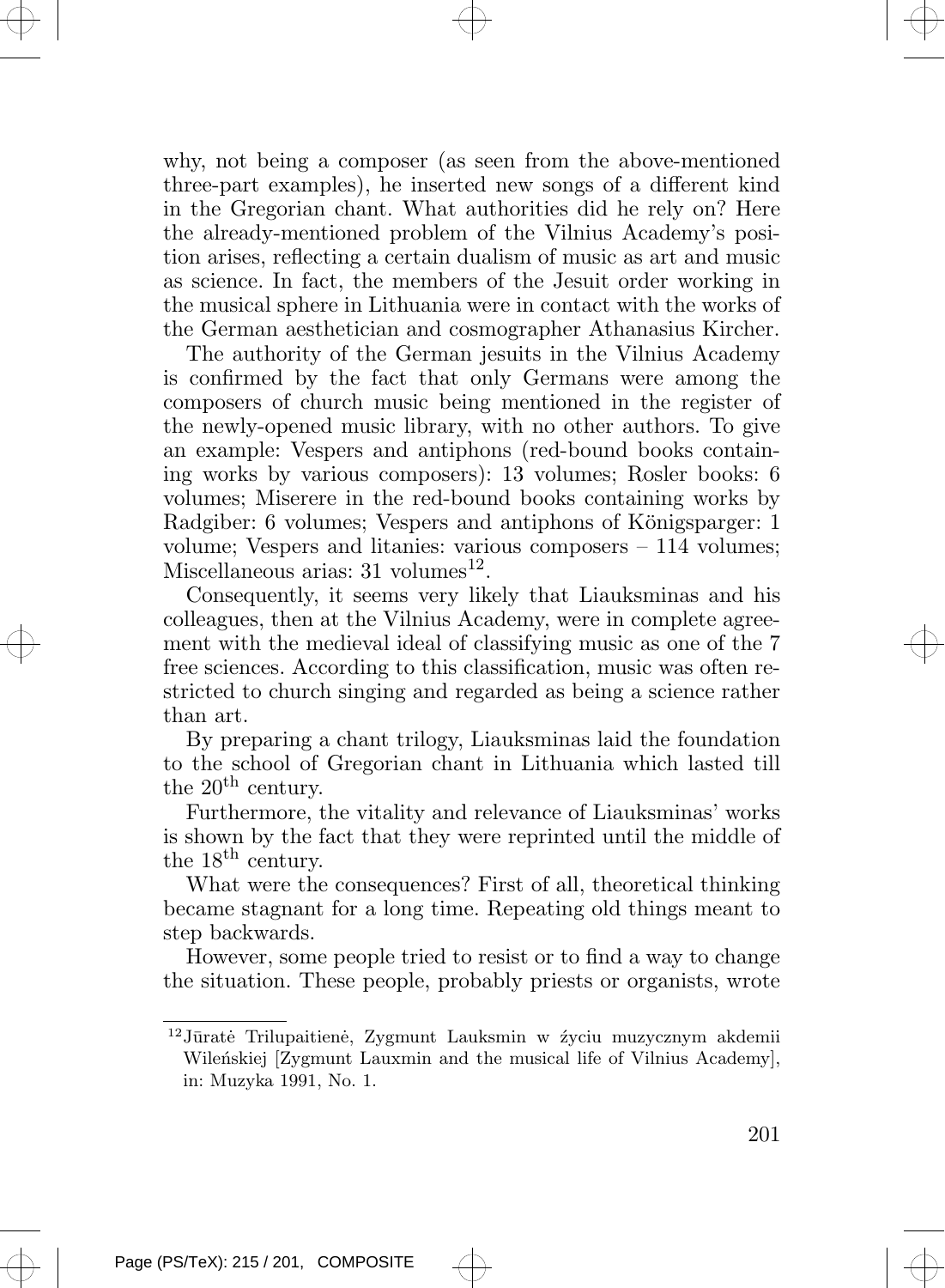why, not being a composer (as seen from the above-mentioned three-part examples), he inserted new songs of a different kind in the Gregorian chant. What authorities did he rely on? Here the already-mentioned problem of the Vilnius Academy's position arises, reflecting a certain dualism of music as art and music as science. In fact, the members of the Jesuit order working in the musical sphere in Lithuania were in contact with the works of the German aesthetician and cosmographer Athanasius Kircher.

The authority of the German jesuits in the Vilnius Academy is confirmed by the fact that only Germans were among the composers of church music being mentioned in the register of the newly-opened music library, with no other authors. To give an example: Vespers and antiphons (red-bound books containing works by various composers): 13 volumes; Rosler books: 6 volumes; Miserere in the red-bound books containing works by Radgiber: 6 volumes; Vespers and antiphons of Königsparger: 1 volume; Vespers and litanies: various composers – 114 volumes; Miscellaneous arias:  $31$  volumes<sup>12</sup>.

Consequently, it seems very likely that Liauksminas and his colleagues, then at the Vilnius Academy, were in complete agreement with the medieval ideal of classifying music as one of the 7 free sciences. According to this classification, music was often restricted to church singing and regarded as being a science rather than art.

By preparing a chant trilogy, Liauksminas laid the foundation to the school of Gregorian chant in Lithuania which lasted till the  $20<sup>th</sup>$  century.

Furthermore, the vitality and relevance of Liauksminas' works is shown by the fact that they were reprinted until the middle of the 18<sup>th</sup> century.

What were the consequences? First of all, theoretical thinking became stagnant for a long time. Repeating old things meant to step backwards.

However, some people tried to resist or to find a way to change the situation. These people, probably priests or organists, wrote

 $12$ Jūratė Trilupaitienė, Zygmunt Lauksmin w źyciu muzycznym akdemii Wilenskiej [Zygmunt Lauxmin and the musical life of Vilnius Academy], in: Muzyka 1991, No. 1.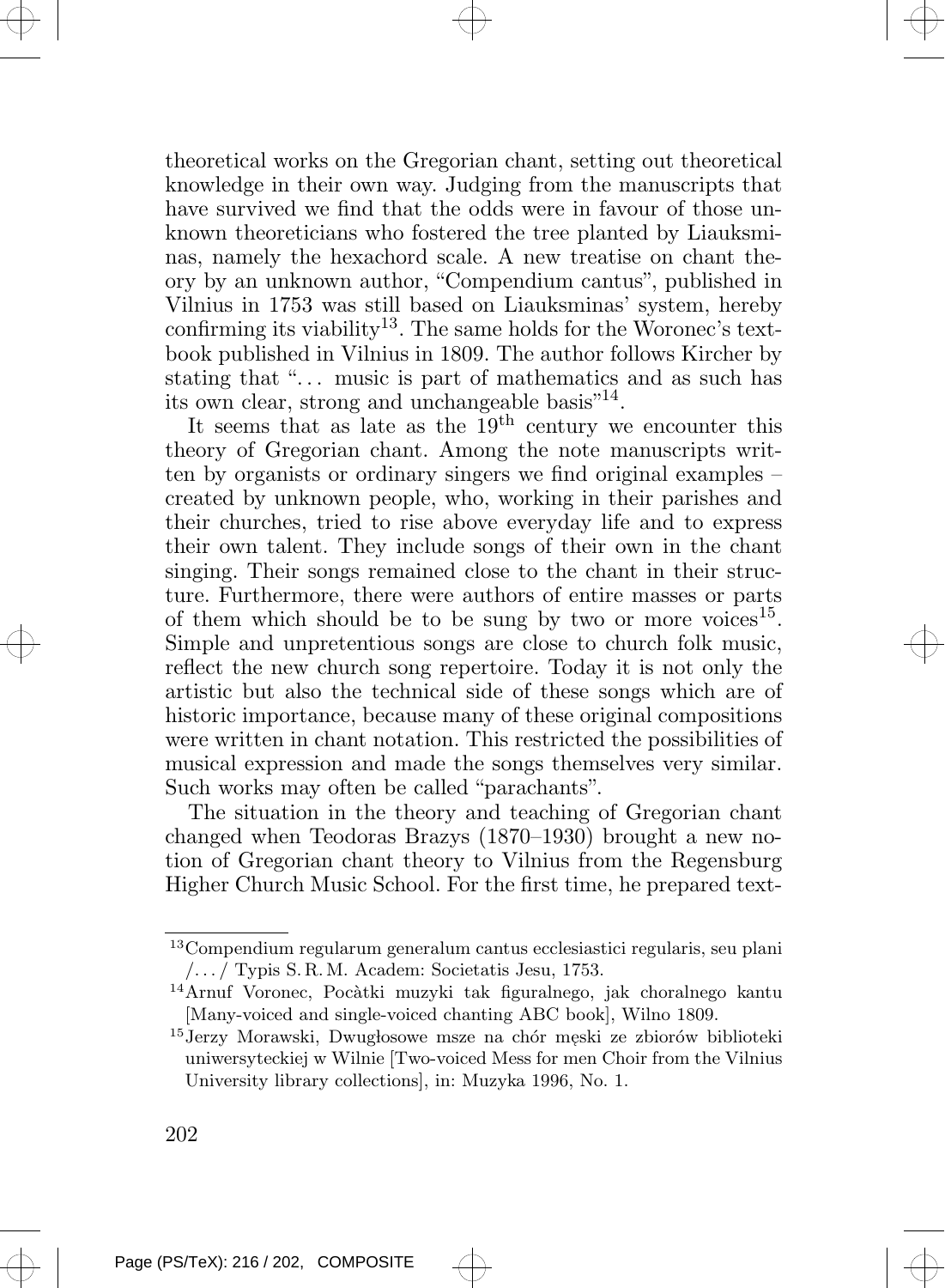theoretical works on the Gregorian chant, setting out theoretical knowledge in their own way. Judging from the manuscripts that have survived we find that the odds were in favour of those unknown theoreticians who fostered the tree planted by Liauksminas, namely the hexachord scale. A new treatise on chant theory by an unknown author, "Compendium cantus", published in Vilnius in 1753 was still based on Liauksminas' system, hereby confirming its viability<sup>13</sup>. The same holds for the Woronec's textbook published in Vilnius in 1809. The author follows Kircher by stating that "... music is part of mathematics and as such has its own clear, strong and unchangeable basis"<sup>14</sup>.

It seems that as late as the  $19<sup>th</sup>$  century we encounter this theory of Gregorian chant. Among the note manuscripts written by organists or ordinary singers we find original examples – created by unknown people, who, working in their parishes and their churches, tried to rise above everyday life and to express their own talent. They include songs of their own in the chant singing. Their songs remained close to the chant in their structure. Furthermore, there were authors of entire masses or parts of them which should be to be sung by two or more voices<sup>15</sup>. Simple and unpretentious songs are close to church folk music, reflect the new church song repertoire. Today it is not only the artistic but also the technical side of these songs which are of historic importance, because many of these original compositions were written in chant notation. This restricted the possibilities of musical expression and made the songs themselves very similar. Such works may often be called "parachants".

The situation in the theory and teaching of Gregorian chant changed when Teodoras Brazys (1870–1930) brought a new notion of Gregorian chant theory to Vilnius from the Regensburg Higher Church Music School. For the first time, he prepared text-

<sup>13</sup>Compendium regularum generalum cantus ecclesiastici regularis, seu plani /. . . / Typis S. R.M. Academ: Societatis Jesu, 1753.

<sup>&</sup>lt;sup>14</sup>Arnuf Voronec, Pocàtki muzyki tak figuralnego, jak choralnego kantu [Many-voiced and single-voiced chanting ABC book], Wilno 1809.

 $^{15}\rm{Jerzy}$ Morawski, Dwugłosowe msze na chór męski ze zbiorów biblioteki uniwersyteckiej w Wilnie [Two-voiced Mess for men Choir from the Vilnius University library collections], in: Muzyka 1996, No. 1.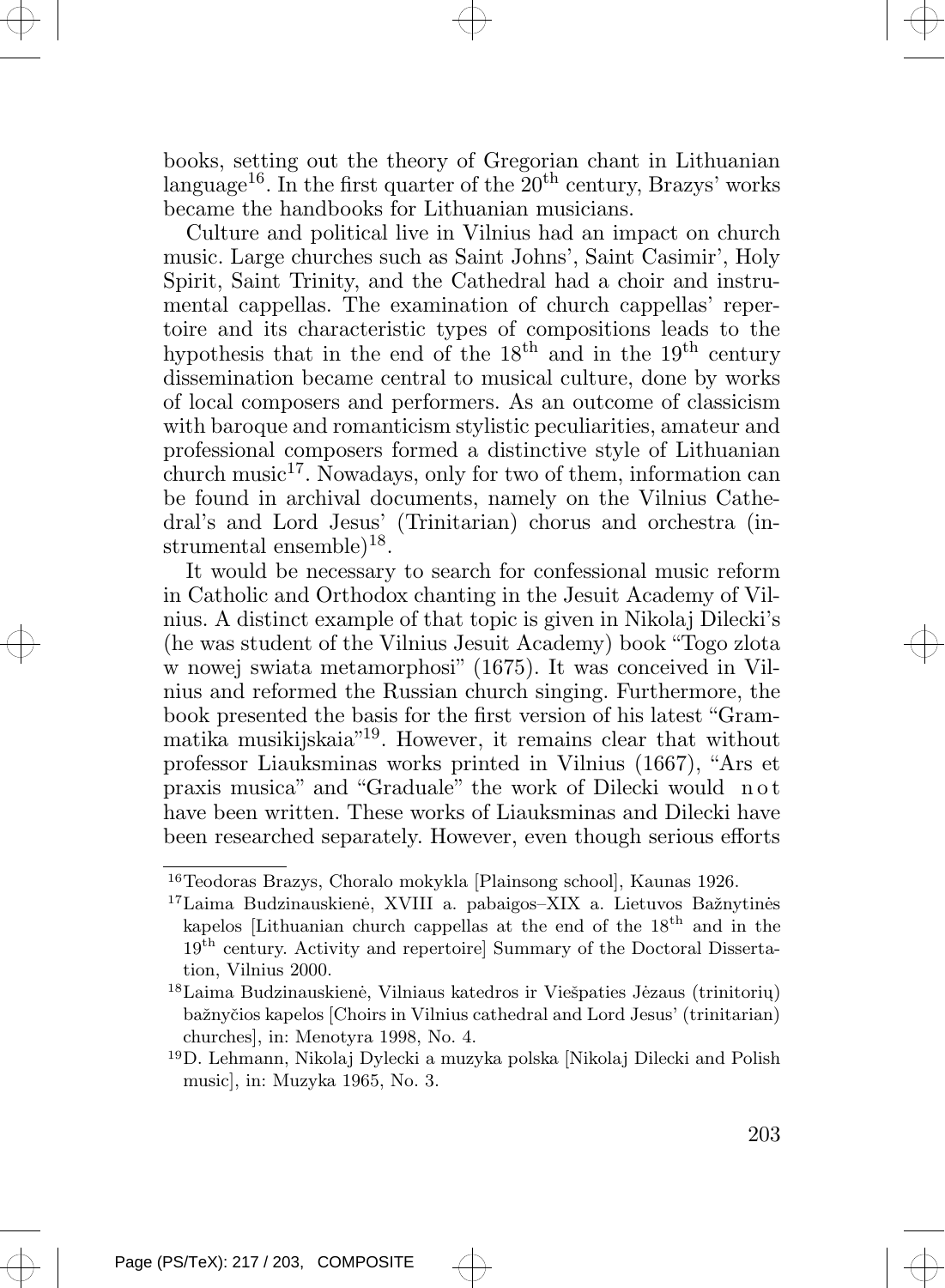books, setting out the theory of Gregorian chant in Lithuanian language<sup>16</sup>. In the first quarter of the  $20<sup>th</sup>$  century, Brazys' works became the handbooks for Lithuanian musicians.

Culture and political live in Vilnius had an impact on church music. Large churches such as Saint Johns', Saint Casimir', Holy Spirit, Saint Trinity, and the Cathedral had a choir and instrumental cappellas. The examination of church cappellas' repertoire and its characteristic types of compositions leads to the hypothesis that in the end of the  $18<sup>th</sup>$  and in the  $19<sup>th</sup>$  century dissemination became central to musical culture, done by works of local composers and performers. As an outcome of classicism with baroque and romanticism stylistic peculiarities, amateur and professional composers formed a distinctive style of Lithuanian church music<sup>17</sup>. Nowadays, only for two of them, information can be found in archival documents, namely on the Vilnius Cathedral's and Lord Jesus' (Trinitarian) chorus and orchestra (instrumental ensemble $)^{18}$ .

It would be necessary to search for confessional music reform in Catholic and Orthodox chanting in the Jesuit Academy of Vilnius. A distinct example of that topic is given in Nikolaj Dilecki's (he was student of the Vilnius Jesuit Academy) book "Togo zlota w nowej swiata metamorphosi" (1675). It was conceived in Vilnius and reformed the Russian church singing. Furthermore, the book presented the basis for the first version of his latest "Grammatika musikijskaia"<sup>19</sup> . However, it remains clear that without professor Liauksminas works printed in Vilnius (1667), "Ars et praxis musica" and "Graduale" the work of Dilecki would n o t have been written. These works of Liauksminas and Dilecki have been researched separately. However, even though serious efforts

<sup>19</sup>D. Lehmann, Nikolaj Dylecki a muzyka polska [Nikolaj Dilecki and Polish music], in: Muzyka 1965, No. 3.



<sup>16</sup>Teodoras Brazys, Choralo mokykla [Plainsong school], Kaunas 1926.

 $17$ Laima Budzinauskienė, XVIII a. pabaigos–XIX a. Lietuvos Bažnytinės kapelos [Lithuanian church cappellas at the end of the  $18<sup>th</sup>$  and in the  $19<sup>th</sup>$  century. Activity and repertoire] Summary of the Doctoral Dissertation, Vilnius 2000.

 $^{18}{\rm Laima}$  Budzinauskienė, Vilniaus katedros ir Viešpaties Jėzaus (trinitoriu) baˇznyˇcios kapelos [Choirs in Vilnius cathedral and Lord Jesus' (trinitarian) churches], in: Menotyra 1998, No. 4.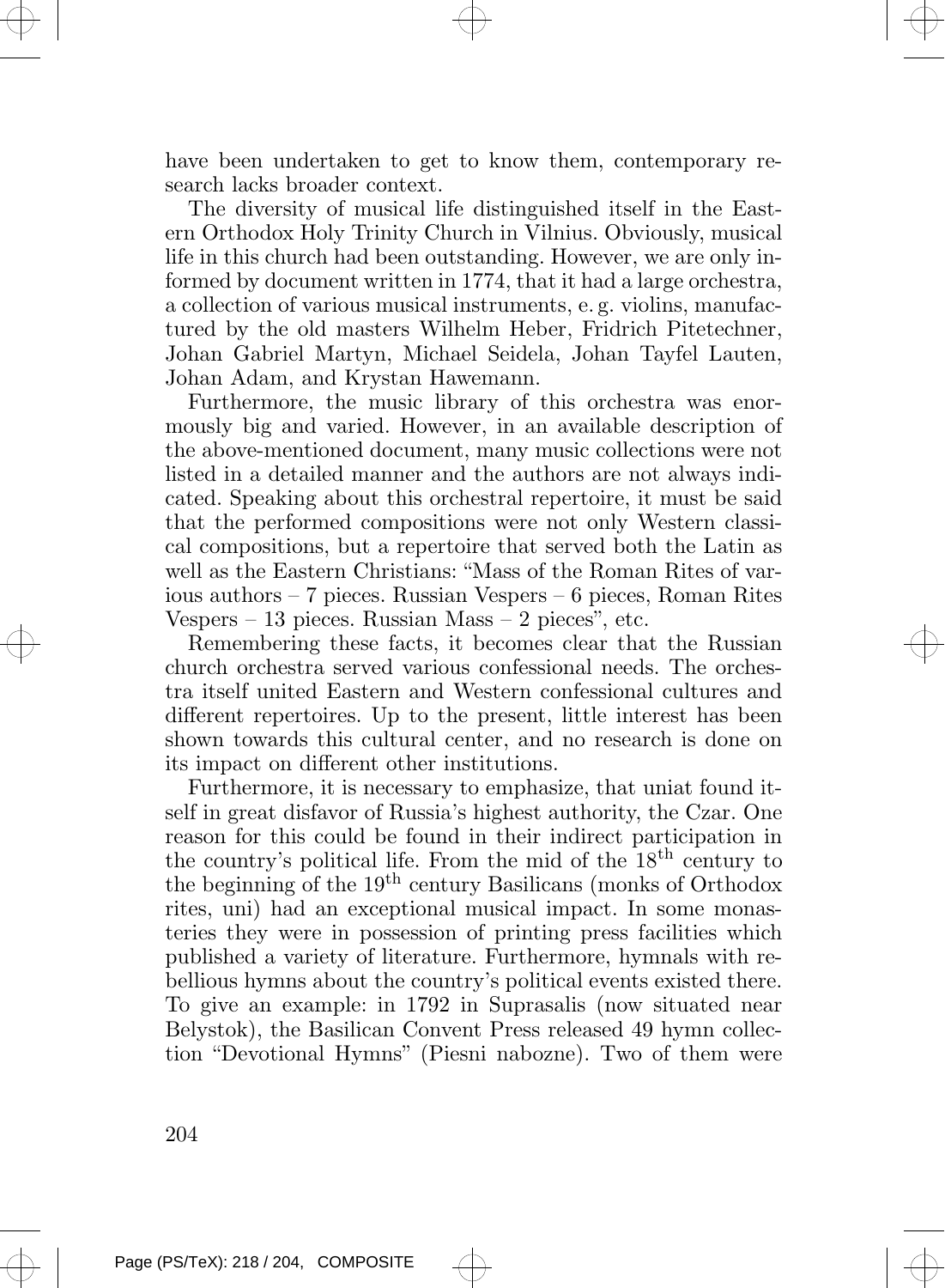have been undertaken to get to know them, contemporary research lacks broader context.

The diversity of musical life distinguished itself in the Eastern Orthodox Holy Trinity Church in Vilnius. Obviously, musical life in this church had been outstanding. However, we are only informed by document written in 1774, that it had a large orchestra, a collection of various musical instruments, e. g. violins, manufactured by the old masters Wilhelm Heber, Fridrich Pitetechner, Johan Gabriel Martyn, Michael Seidela, Johan Tayfel Lauten, Johan Adam, and Krystan Hawemann.

Furthermore, the music library of this orchestra was enormously big and varied. However, in an available description of the above-mentioned document, many music collections were not listed in a detailed manner and the authors are not always indicated. Speaking about this orchestral repertoire, it must be said that the performed compositions were not only Western classical compositions, but a repertoire that served both the Latin as well as the Eastern Christians: "Mass of the Roman Rites of various authors – 7 pieces. Russian Vespers – 6 pieces, Roman Rites Vespers – 13 pieces. Russian Mass – 2 pieces", etc.

Remembering these facts, it becomes clear that the Russian church orchestra served various confessional needs. The orchestra itself united Eastern and Western confessional cultures and different repertoires. Up to the present, little interest has been shown towards this cultural center, and no research is done on its impact on different other institutions.

Furthermore, it is necessary to emphasize, that uniat found itself in great disfavor of Russia's highest authority, the Czar. One reason for this could be found in their indirect participation in the country's political life. From the mid of the 18th century to the beginning of the  $19<sup>th</sup>$  century Basilicans (monks of Orthodox rites, uni) had an exceptional musical impact. In some monasteries they were in possession of printing press facilities which published a variety of literature. Furthermore, hymnals with rebellious hymns about the country's political events existed there. To give an example: in 1792 in Suprasalis (now situated near Belystok), the Basilican Convent Press released 49 hymn collection "Devotional Hymns" (Piesni nabozne). Two of them were

204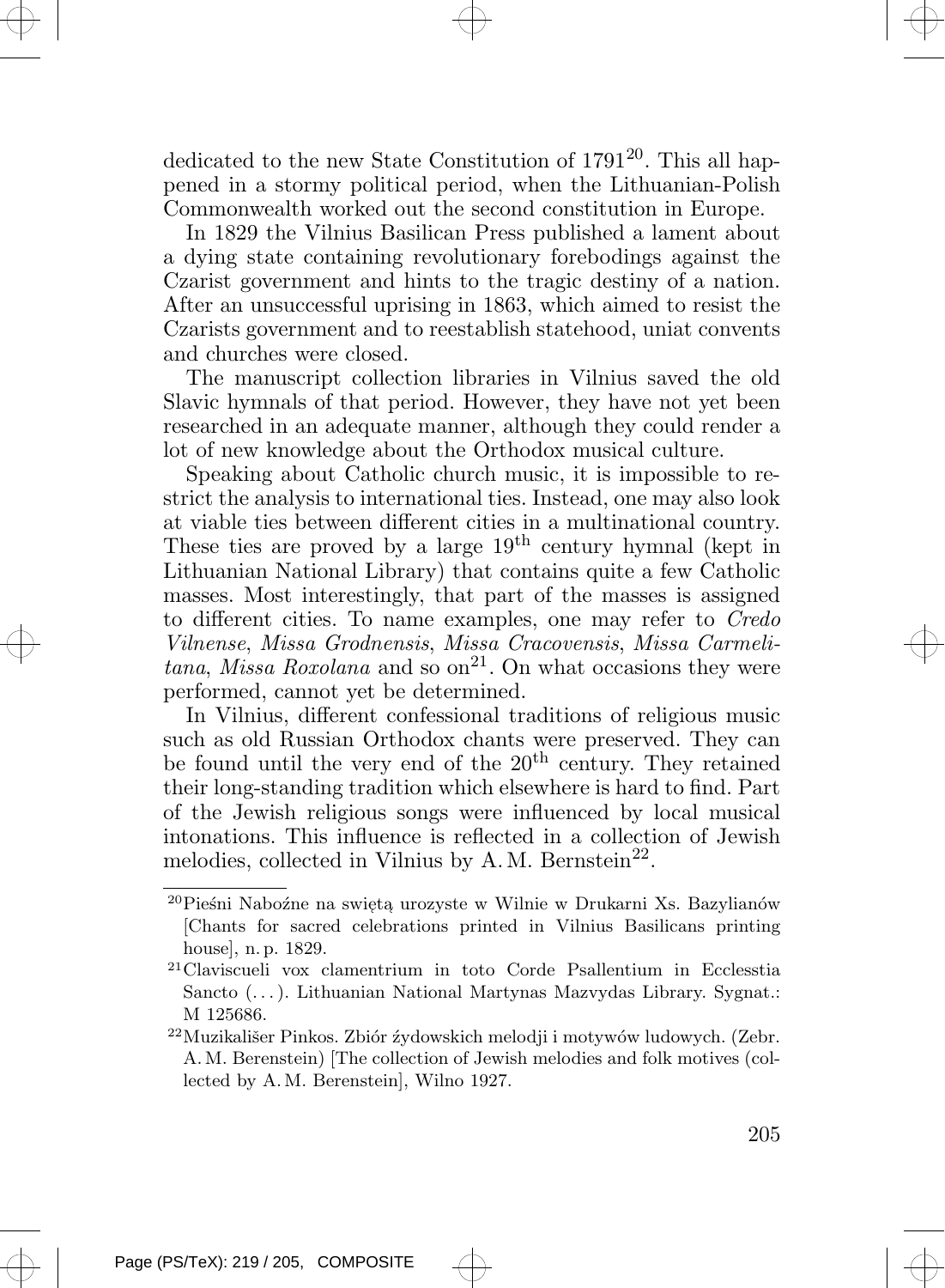dedicated to the new State Constitution of 1791<sup>20</sup>. This all happened in a stormy political period, when the Lithuanian-Polish Commonwealth worked out the second constitution in Europe.

In 1829 the Vilnius Basilican Press published a lament about a dying state containing revolutionary forebodings against the Czarist government and hints to the tragic destiny of a nation. After an unsuccessful uprising in 1863, which aimed to resist the Czarists government and to reestablish statehood, uniat convents and churches were closed.

The manuscript collection libraries in Vilnius saved the old Slavic hymnals of that period. However, they have not yet been researched in an adequate manner, although they could render a lot of new knowledge about the Orthodox musical culture.

Speaking about Catholic church music, it is impossible to restrict the analysis to international ties. Instead, one may also look at viable ties between different cities in a multinational country. These ties are proved by a large  $19<sup>th</sup>$  century hymnal (kept in Lithuanian National Library) that contains quite a few Catholic masses. Most interestingly, that part of the masses is assigned to different cities. To name examples, one may refer to Credo Vilnense, Missa Grodnensis, Missa Cracovensis, Missa Carmelitana, Missa Roxolana and so on<sup>21</sup>. On what occasions they were performed, cannot yet be determined.

In Vilnius, different confessional traditions of religious music such as old Russian Orthodox chants were preserved. They can be found until the very end of the  $20<sup>th</sup>$  century. They retained their long-standing tradition which elsewhere is hard to find. Part of the Jewish religious songs were influenced by local musical intonations. This influence is reflected in a collection of Jewish melodies, collected in Vilnius by A.M. Bernstein<sup>22</sup>.

 $^{20}\mathrm{Pie\acute{sn}i}$ Naboźne na swiętą urozyste w Wilnie w Drukarni Xs. Bazylianów [Chants for sacred celebrations printed in Vilnius Basilicans printing house], n. p. 1829.

<sup>21</sup>Claviscueli vox clamentrium in toto Corde Psallentium in Ecclesstia Sancto (. . .). Lithuanian National Martynas Mazvydas Library. Sygnat.: M 125686.

 $^{22}$ Muzikališer Pinkos. Zbiór źydowskich melodji i motywów ludowych. (Zebr. A.M. Berenstein) [The collection of Jewish melodies and folk motives (collected by A.M. Berenstein], Wilno 1927.